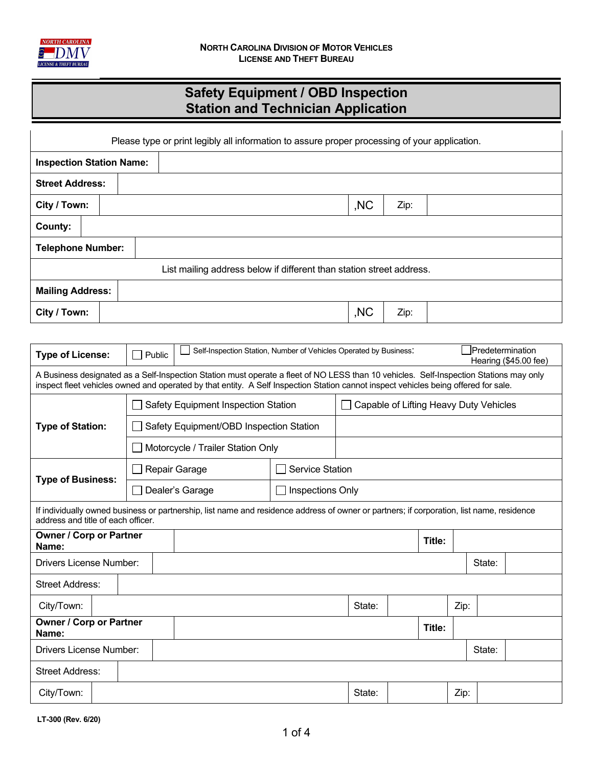

## **Safety Equipment / OBD Inspection Station and Technician Application**

| Please type or print legibly all information to assure proper processing of your application. |  |        |  |                                                                                                                                                                                                                                                                               |                                        |        |     |      |      |  |  |                                           |  |
|-----------------------------------------------------------------------------------------------|--|--------|--|-------------------------------------------------------------------------------------------------------------------------------------------------------------------------------------------------------------------------------------------------------------------------------|----------------------------------------|--------|-----|------|------|--|--|-------------------------------------------|--|
| <b>Inspection Station Name:</b>                                                               |  |        |  |                                                                                                                                                                                                                                                                               |                                        |        |     |      |      |  |  |                                           |  |
| <b>Street Address:</b>                                                                        |  |        |  |                                                                                                                                                                                                                                                                               |                                        |        |     |      |      |  |  |                                           |  |
| City / Town:                                                                                  |  |        |  |                                                                                                                                                                                                                                                                               |                                        |        | ,NC | Zip: |      |  |  |                                           |  |
| County:                                                                                       |  |        |  |                                                                                                                                                                                                                                                                               |                                        |        |     |      |      |  |  |                                           |  |
| <b>Telephone Number:</b>                                                                      |  |        |  |                                                                                                                                                                                                                                                                               |                                        |        |     |      |      |  |  |                                           |  |
|                                                                                               |  |        |  | List mailing address below if different than station street address.                                                                                                                                                                                                          |                                        |        |     |      |      |  |  |                                           |  |
| <b>Mailing Address:</b>                                                                       |  |        |  |                                                                                                                                                                                                                                                                               |                                        |        |     |      |      |  |  |                                           |  |
| City / Town:                                                                                  |  |        |  |                                                                                                                                                                                                                                                                               |                                        |        | ,NC | Zip: |      |  |  |                                           |  |
|                                                                                               |  |        |  |                                                                                                                                                                                                                                                                               |                                        |        |     |      |      |  |  |                                           |  |
| <b>Type of License:</b>                                                                       |  | Public |  | Self-Inspection Station, Number of Vehicles Operated by Business:                                                                                                                                                                                                             |                                        |        |     |      |      |  |  | Predetermination<br>Hearing (\$45.00 fee) |  |
|                                                                                               |  |        |  | A Business designated as a Self-Inspection Station must operate a fleet of NO LESS than 10 vehicles. Self-Inspection Stations may only<br>inspect fleet vehicles owned and operated by that entity. A Self Inspection Station cannot inspect vehicles being offered for sale. |                                        |        |     |      |      |  |  |                                           |  |
| <b>Type of Station:</b>                                                                       |  |        |  | Safety Equipment Inspection Station                                                                                                                                                                                                                                           | Capable of Lifting Heavy Duty Vehicles |        |     |      |      |  |  |                                           |  |
|                                                                                               |  |        |  | Safety Equipment/OBD Inspection Station                                                                                                                                                                                                                                       |                                        |        |     |      |      |  |  |                                           |  |
|                                                                                               |  |        |  | Motorcycle / Trailer Station Only                                                                                                                                                                                                                                             |                                        |        |     |      |      |  |  |                                           |  |
|                                                                                               |  |        |  | Repair Garage                                                                                                                                                                                                                                                                 | <b>Service Station</b>                 |        |     |      |      |  |  |                                           |  |
| <b>Type of Business:</b>                                                                      |  |        |  | Dealer's Garage                                                                                                                                                                                                                                                               | Inspections Only                       |        |     |      |      |  |  |                                           |  |
| address and title of each officer.                                                            |  |        |  | If individually owned business or partnership, list name and residence address of owner or partners; if corporation, list name, residence                                                                                                                                     |                                        |        |     |      |      |  |  |                                           |  |
| <b>Owner / Corp or Partner</b><br>Name:                                                       |  |        |  | Title:                                                                                                                                                                                                                                                                        |                                        |        |     |      |      |  |  |                                           |  |
| Drivers License Number:                                                                       |  |        |  | State:                                                                                                                                                                                                                                                                        |                                        |        |     |      |      |  |  |                                           |  |
| <b>Street Address:</b>                                                                        |  |        |  |                                                                                                                                                                                                                                                                               |                                        |        |     |      |      |  |  |                                           |  |
| City/Town:                                                                                    |  |        |  | State:                                                                                                                                                                                                                                                                        |                                        |        |     |      |      |  |  |                                           |  |
| Owner / Corp or Partner<br>Name:                                                              |  |        |  | Title:                                                                                                                                                                                                                                                                        |                                        |        |     |      |      |  |  |                                           |  |
| Drivers License Number:                                                                       |  |        |  | State:                                                                                                                                                                                                                                                                        |                                        |        |     |      |      |  |  |                                           |  |
| <b>Street Address:</b>                                                                        |  |        |  |                                                                                                                                                                                                                                                                               |                                        |        |     |      |      |  |  |                                           |  |
| City/Town:                                                                                    |  |        |  |                                                                                                                                                                                                                                                                               |                                        | State: |     |      | Zip: |  |  |                                           |  |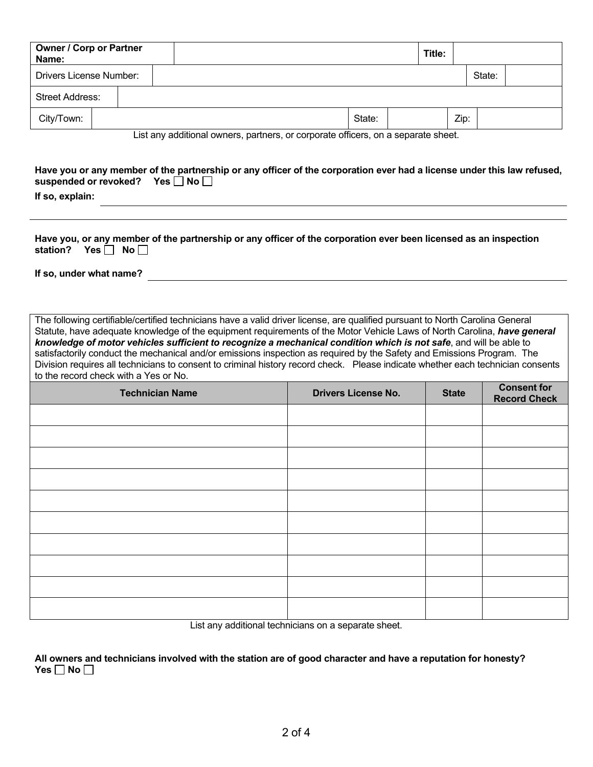| <b>Owner / Corp or Partner</b><br>Name:                                                       |  |  |  |  |  |  |  |  |        | Title: |      |  |        |  |  |
|-----------------------------------------------------------------------------------------------|--|--|--|--|--|--|--|--|--------|--------|------|--|--------|--|--|
| <b>Drivers License Number:</b>                                                                |  |  |  |  |  |  |  |  |        |        |      |  | State: |  |  |
| <b>Street Address:</b>                                                                        |  |  |  |  |  |  |  |  |        |        |      |  |        |  |  |
| City/Town:                                                                                    |  |  |  |  |  |  |  |  | State: |        | Zip: |  |        |  |  |
| $\frac{1}{2}$ int any additional owners, partners, ar serperate efficers, an a separate shoot |  |  |  |  |  |  |  |  |        |        |      |  |        |  |  |

List any additional owners, partners, or corporate officers, on a separate sheet.

## **Have you or any member of the partnership or any officer of the corporation ever had a license under this law refused,**  suspended or revoked? Yes **No No** ■

**If so, explain:**

**Have you, or any member of the partnership or any officer of the corporation ever been licensed as an inspection**  station? Yes No

**If so, under what name?**

The following certifiable/certified technicians have a valid driver license, are qualified pursuant to North Carolina General Statute, have adequate knowledge of the equipment requirements of the Motor Vehicle Laws of North Carolina, *have general knowledge of motor vehicles sufficient to recognize a mechanical condition which is not safe*, and will be able to satisfactorily conduct the mechanical and/or emissions inspection as required by the Safety and Emissions Program. The Division requires all technicians to consent to criminal history record check. Please indicate whether each technician consents to the record check with a Yes or No.

| <b>Technician Name</b> | <b>Drivers License No.</b> | <b>State</b> | <b>Consent for</b><br><b>Record Check</b> |
|------------------------|----------------------------|--------------|-------------------------------------------|
|                        |                            |              |                                           |
|                        |                            |              |                                           |
|                        |                            |              |                                           |
|                        |                            |              |                                           |
|                        |                            |              |                                           |
|                        |                            |              |                                           |
|                        |                            |              |                                           |
|                        |                            |              |                                           |
|                        |                            |              |                                           |
|                        |                            |              |                                           |

List any additional technicians on a separate sheet.

**All owners and technicians involved with the station are of good character and have a reputation for honesty? Yes**  $\Box$  No  $\Box$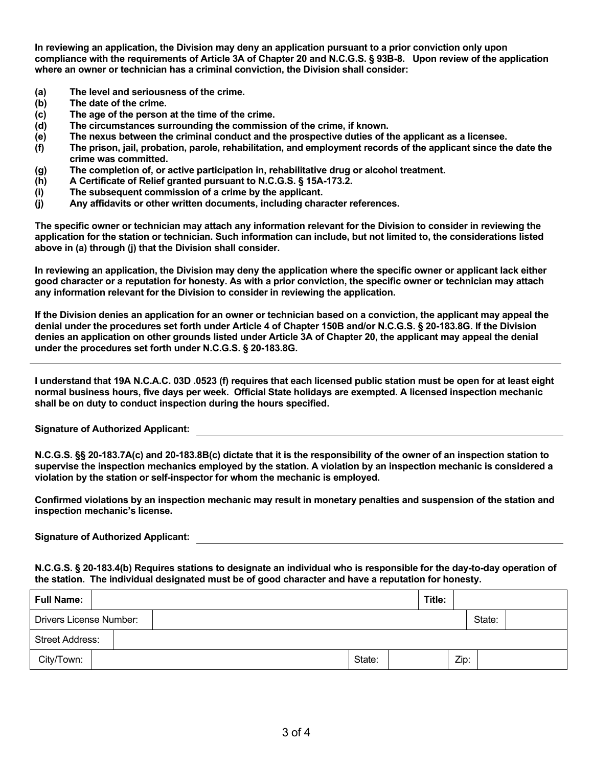**In reviewing an application, the Division may deny an application pursuant to a prior conviction only upon compliance with the requirements of Article 3A of Chapter 20 and N.C.G.S. § 93B-8. Upon review of the application where an owner or technician has a criminal conviction, the Division shall consider:** 

- **(a) The level and seriousness of the crime.**
- **(b) The date of the crime.**
- **(c) The age of the person at the time of the crime.**
- **(d) The circumstances surrounding the commission of the crime, if known.**
- **(e) The nexus between the criminal conduct and the prospective duties of the applicant as a licensee.**
- **(f) The prison, jail, probation, parole, rehabilitation, and employment records of the applicant since the date the crime was committed.**
- **(g) The completion of, or active participation in, rehabilitative drug or alcohol treatment.**
- **(h) A Certificate of Relief granted pursuant to N.C.G.S. § 15A-173.2.**
- **(i) The subsequent commission of a crime by the applicant.**
- **(j) Any affidavits or other written documents, including character references.**

**The specific owner or technician may attach any information relevant for the Division to consider in reviewing the application for the station or technician. Such information can include, but not limited to, the considerations listed above in (a) through (j) that the Division shall consider.**

**In reviewing an application, the Division may deny the application where the specific owner or applicant lack either good character or a reputation for honesty. As with a prior conviction, the specific owner or technician may attach any information relevant for the Division to consider in reviewing the application.**

**If the Division denies an application for an owner or technician based on a conviction, the applicant may appeal the denial under the procedures set forth under Article 4 of Chapter 150B and/or N.C.G.S. § 20-183.8G. If the Division denies an application on other grounds listed under Article 3A of Chapter 20, the applicant may appeal the denial under the procedures set forth under N.C.G.S. § 20-183.8G.** 

**I understand that 19A N.C.A.C. 03D .0523 (f) requires that each licensed public station must be open for at least eight normal business hours, five days per week. Official State holidays are exempted. A licensed inspection mechanic shall be on duty to conduct inspection during the hours specified.** 

**Signature of Authorized Applicant:**

**N.C.G.S. §§ 20-183.7A(c) and 20-183.8B(c) dictate that it is the responsibility of the owner of an inspection station to supervise the inspection mechanics employed by the station. A violation by an inspection mechanic is considered a violation by the station or self-inspector for whom the mechanic is employed.** 

**Confirmed violations by an inspection mechanic may result in monetary penalties and suspension of the station and inspection mechanic's license.** 

**Signature of Authorized Applicant:**

**N.C.G.S. § 20-183.4(b) Requires stations to designate an individual who is responsible for the day-to-day operation of the station. The individual designated must be of good character and have a reputation for honesty.** 

| <b>Full Name:</b>       |  |  |        | Title: |      |        |  |
|-------------------------|--|--|--------|--------|------|--------|--|
| Drivers License Number: |  |  |        |        |      | State: |  |
| <b>Street Address:</b>  |  |  |        |        |      |        |  |
| City/Town:              |  |  | State: |        | Zip: |        |  |